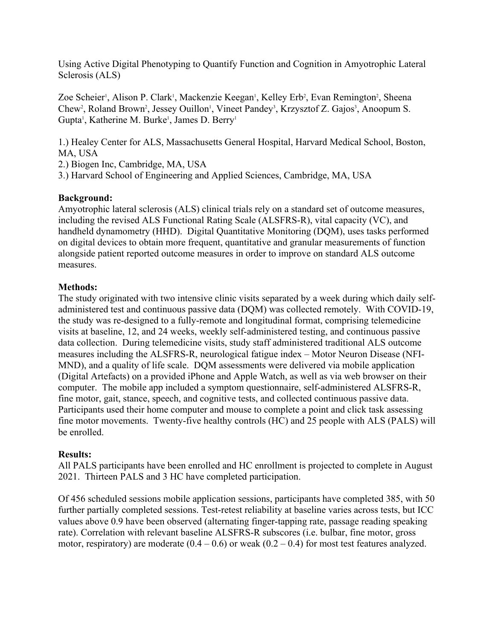Using Active Digital Phenotyping to Quantify Function and Cognition in Amyotrophic Lateral Sclerosis (ALS)

Zoe Scheier<sup>1</sup>, Alison P. Clark<sup>1</sup>, Mackenzie Keegan<sup>1</sup>, Kelley Erb<sup>2</sup>, Evan Remington<sup>2</sup>, Sheena Chew<sup>2</sup>, Roland Brown<sup>2</sup>, Jessey Ouillon<sup>1</sup>, Vineet Pandey<sup>3</sup>, Krzysztof Z. Gajos<sup>3</sup>, Anoopum S. Gupta<sup>1</sup>, Katherine M. Burke<sup>1</sup>, James D. Berry<sup>1</sup>

1.) Healey Center for ALS, Massachusetts General Hospital, Harvard Medical School, Boston, MA, USA

2.) Biogen Inc, Cambridge, MA, USA

3.) Harvard School of Engineering and Applied Sciences, Cambridge, MA, USA

## **Background:**

Amyotrophic lateral sclerosis (ALS) clinical trials rely on a standard set of outcome measures, including the revised ALS Functional Rating Scale (ALSFRS-R), vital capacity (VC), and handheld dynamometry (HHD). Digital Quantitative Monitoring (DQM), uses tasks performed on digital devices to obtain more frequent, quantitative and granular measurements of function alongside patient reported outcome measures in order to improve on standard ALS outcome measures.

## **Methods:**

The study originated with two intensive clinic visits separated by a week during which daily selfadministered test and continuous passive data (DQM) was collected remotely. With COVID-19, the study was re-designed to a fully-remote and longitudinal format, comprising telemedicine visits at baseline, 12, and 24 weeks, weekly self-administered testing, and continuous passive data collection. During telemedicine visits, study staff administered traditional ALS outcome measures including the ALSFRS-R, neurological fatigue index – Motor Neuron Disease (NFI-MND), and a quality of life scale. DQM assessments were delivered via mobile application (Digital Artefacts) on a provided iPhone and Apple Watch, as well as via web browser on their computer. The mobile app included a symptom questionnaire, self-administered ALSFRS-R, fine motor, gait, stance, speech, and cognitive tests, and collected continuous passive data. Participants used their home computer and mouse to complete a point and click task assessing fine motor movements. Twenty-five healthy controls (HC) and 25 people with ALS (PALS) will be enrolled.

## **Results:**

All PALS participants have been enrolled and HC enrollment is projected to complete in August 2021. Thirteen PALS and 3 HC have completed participation.

Of 456 scheduled sessions mobile application sessions, participants have completed 385, with 50 further partially completed sessions. Test-retest reliability at baseline varies across tests, but ICC values above 0.9 have been observed (alternating finger-tapping rate, passage reading speaking rate). Correlation with relevant baseline ALSFRS-R subscores (i.e. bulbar, fine motor, gross motor, respiratory) are moderate  $(0.4 - 0.6)$  or weak  $(0.2 - 0.4)$  for most test features analyzed.